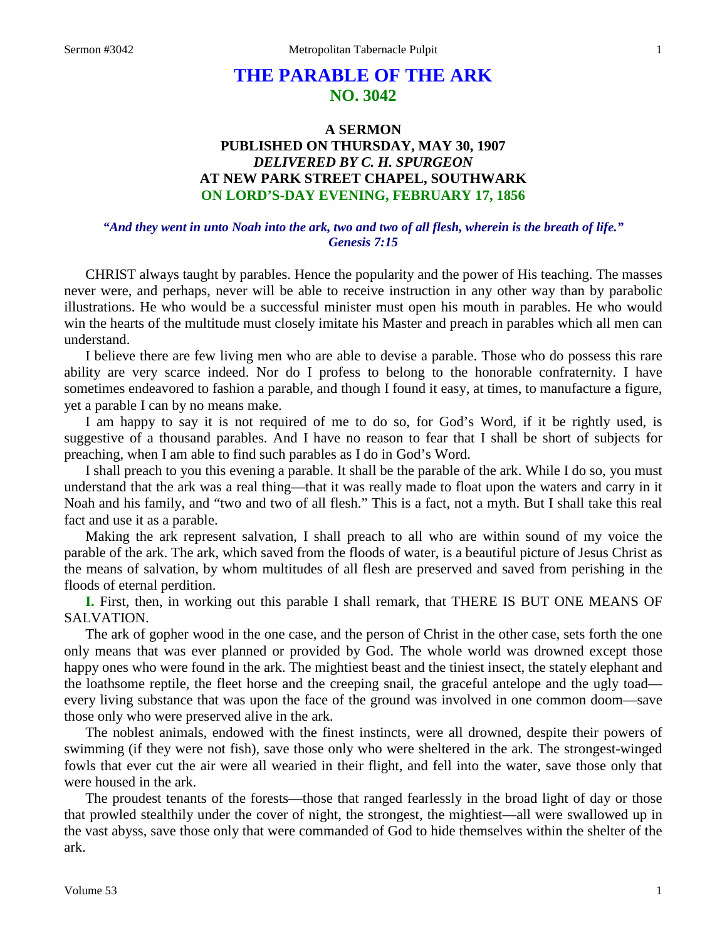# **THE PARABLE OF THE ARK NO. 3042**

## **A SERMON PUBLISHED ON THURSDAY, MAY 30, 1907** *DELIVERED BY C. H. SPURGEON* **AT NEW PARK STREET CHAPEL, SOUTHWARK ON LORD'S-DAY EVENING, FEBRUARY 17, 1856**

### *"And they went in unto Noah into the ark, two and two of all flesh, wherein is the breath of life." Genesis 7:15*

CHRIST always taught by parables. Hence the popularity and the power of His teaching. The masses never were, and perhaps, never will be able to receive instruction in any other way than by parabolic illustrations. He who would be a successful minister must open his mouth in parables. He who would win the hearts of the multitude must closely imitate his Master and preach in parables which all men can understand.

I believe there are few living men who are able to devise a parable. Those who do possess this rare ability are very scarce indeed. Nor do I profess to belong to the honorable confraternity. I have sometimes endeavored to fashion a parable, and though I found it easy, at times, to manufacture a figure, yet a parable I can by no means make.

I am happy to say it is not required of me to do so, for God's Word, if it be rightly used, is suggestive of a thousand parables. And I have no reason to fear that I shall be short of subjects for preaching, when I am able to find such parables as I do in God's Word.

I shall preach to you this evening a parable. It shall be the parable of the ark. While I do so, you must understand that the ark was a real thing—that it was really made to float upon the waters and carry in it Noah and his family, and "two and two of all flesh." This is a fact, not a myth. But I shall take this real fact and use it as a parable.

Making the ark represent salvation, I shall preach to all who are within sound of my voice the parable of the ark. The ark, which saved from the floods of water, is a beautiful picture of Jesus Christ as the means of salvation, by whom multitudes of all flesh are preserved and saved from perishing in the floods of eternal perdition.

**I.** First, then, in working out this parable I shall remark, that THERE IS BUT ONE MEANS OF SALVATION.

The ark of gopher wood in the one case, and the person of Christ in the other case, sets forth the one only means that was ever planned or provided by God. The whole world was drowned except those happy ones who were found in the ark. The mightiest beast and the tiniest insect, the stately elephant and the loathsome reptile, the fleet horse and the creeping snail, the graceful antelope and the ugly toad every living substance that was upon the face of the ground was involved in one common doom—save those only who were preserved alive in the ark.

The noblest animals, endowed with the finest instincts, were all drowned, despite their powers of swimming (if they were not fish), save those only who were sheltered in the ark. The strongest-winged fowls that ever cut the air were all wearied in their flight, and fell into the water, save those only that were housed in the ark.

The proudest tenants of the forests—those that ranged fearlessly in the broad light of day or those that prowled stealthily under the cover of night, the strongest, the mightiest—all were swallowed up in the vast abyss, save those only that were commanded of God to hide themselves within the shelter of the ark.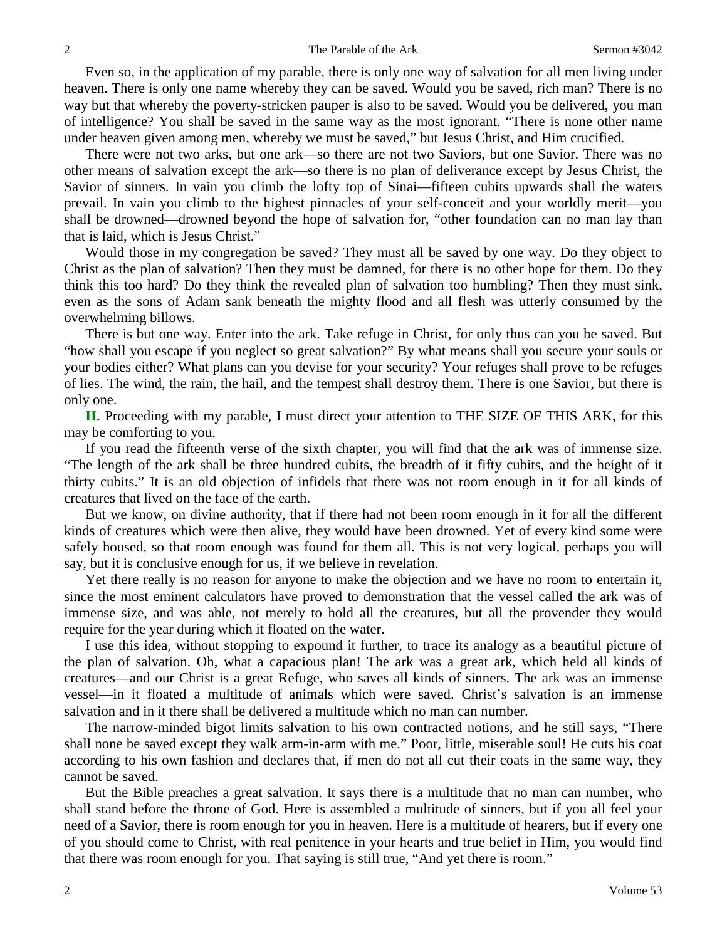Even so, in the application of my parable, there is only one way of salvation for all men living under heaven. There is only one name whereby they can be saved. Would you be saved, rich man? There is no way but that whereby the poverty-stricken pauper is also to be saved. Would you be delivered, you man of intelligence? You shall be saved in the same way as the most ignorant. "There is none other name under heaven given among men, whereby we must be saved," but Jesus Christ, and Him crucified.

There were not two arks, but one ark—so there are not two Saviors, but one Savior. There was no other means of salvation except the ark—so there is no plan of deliverance except by Jesus Christ, the Savior of sinners. In vain you climb the lofty top of Sinai—fifteen cubits upwards shall the waters prevail. In vain you climb to the highest pinnacles of your self-conceit and your worldly merit—you shall be drowned—drowned beyond the hope of salvation for, "other foundation can no man lay than that is laid, which is Jesus Christ."

Would those in my congregation be saved? They must all be saved by one way. Do they object to Christ as the plan of salvation? Then they must be damned, for there is no other hope for them. Do they think this too hard? Do they think the revealed plan of salvation too humbling? Then they must sink, even as the sons of Adam sank beneath the mighty flood and all flesh was utterly consumed by the overwhelming billows.

There is but one way. Enter into the ark. Take refuge in Christ, for only thus can you be saved. But "how shall you escape if you neglect so great salvation?" By what means shall you secure your souls or your bodies either? What plans can you devise for your security? Your refuges shall prove to be refuges of lies. The wind, the rain, the hail, and the tempest shall destroy them. There is one Savior, but there is only one.

**II.** Proceeding with my parable, I must direct your attention to THE SIZE OF THIS ARK, for this may be comforting to you.

If you read the fifteenth verse of the sixth chapter, you will find that the ark was of immense size. "The length of the ark shall be three hundred cubits, the breadth of it fifty cubits, and the height of it thirty cubits." It is an old objection of infidels that there was not room enough in it for all kinds of creatures that lived on the face of the earth.

But we know, on divine authority, that if there had not been room enough in it for all the different kinds of creatures which were then alive, they would have been drowned. Yet of every kind some were safely housed, so that room enough was found for them all. This is not very logical, perhaps you will say, but it is conclusive enough for us, if we believe in revelation.

Yet there really is no reason for anyone to make the objection and we have no room to entertain it, since the most eminent calculators have proved to demonstration that the vessel called the ark was of immense size, and was able, not merely to hold all the creatures, but all the provender they would require for the year during which it floated on the water.

I use this idea, without stopping to expound it further, to trace its analogy as a beautiful picture of the plan of salvation. Oh, what a capacious plan! The ark was a great ark, which held all kinds of creatures—and our Christ is a great Refuge, who saves all kinds of sinners. The ark was an immense vessel—in it floated a multitude of animals which were saved. Christ's salvation is an immense salvation and in it there shall be delivered a multitude which no man can number.

The narrow-minded bigot limits salvation to his own contracted notions, and he still says, "There shall none be saved except they walk arm-in-arm with me." Poor, little, miserable soul! He cuts his coat according to his own fashion and declares that, if men do not all cut their coats in the same way, they cannot be saved.

But the Bible preaches a great salvation. It says there is a multitude that no man can number, who shall stand before the throne of God. Here is assembled a multitude of sinners, but if you all feel your need of a Savior, there is room enough for you in heaven. Here is a multitude of hearers, but if every one of you should come to Christ, with real penitence in your hearts and true belief in Him, you would find that there was room enough for you. That saying is still true, "And yet there is room."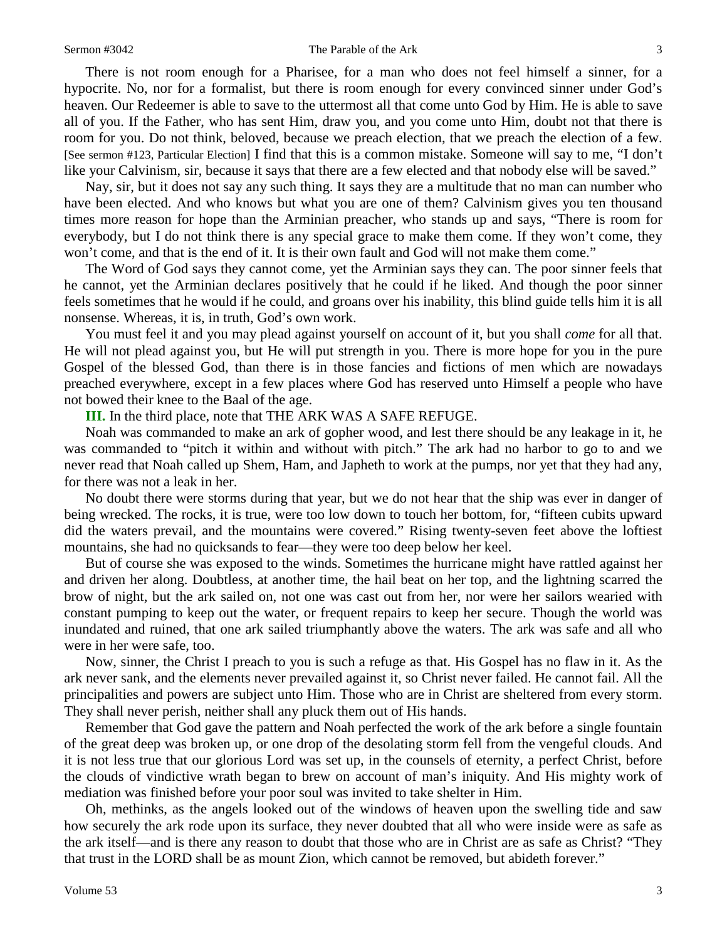#### Sermon #3042 The Parable of the Ark 3

There is not room enough for a Pharisee, for a man who does not feel himself a sinner, for a hypocrite. No, nor for a formalist, but there is room enough for every convinced sinner under God's heaven. Our Redeemer is able to save to the uttermost all that come unto God by Him. He is able to save all of you. If the Father, who has sent Him, draw you, and you come unto Him, doubt not that there is room for you. Do not think, beloved, because we preach election, that we preach the election of a few. [See sermon #123, Particular Election] I find that this is a common mistake. Someone will say to me, "I don't like your Calvinism, sir, because it says that there are a few elected and that nobody else will be saved."

Nay, sir, but it does not say any such thing. It says they are a multitude that no man can number who have been elected. And who knows but what you are one of them? Calvinism gives you ten thousand times more reason for hope than the Arminian preacher, who stands up and says, "There is room for everybody, but I do not think there is any special grace to make them come. If they won't come, they won't come, and that is the end of it. It is their own fault and God will not make them come."

The Word of God says they cannot come, yet the Arminian says they can. The poor sinner feels that he cannot, yet the Arminian declares positively that he could if he liked. And though the poor sinner feels sometimes that he would if he could, and groans over his inability, this blind guide tells him it is all nonsense. Whereas, it is, in truth, God's own work.

You must feel it and you may plead against yourself on account of it, but you shall *come* for all that. He will not plead against you, but He will put strength in you. There is more hope for you in the pure Gospel of the blessed God, than there is in those fancies and fictions of men which are nowadays preached everywhere, except in a few places where God has reserved unto Himself a people who have not bowed their knee to the Baal of the age.

**III.** In the third place, note that THE ARK WAS A SAFE REFUGE.

Noah was commanded to make an ark of gopher wood, and lest there should be any leakage in it, he was commanded to "pitch it within and without with pitch." The ark had no harbor to go to and we never read that Noah called up Shem, Ham, and Japheth to work at the pumps, nor yet that they had any, for there was not a leak in her.

No doubt there were storms during that year, but we do not hear that the ship was ever in danger of being wrecked. The rocks, it is true, were too low down to touch her bottom, for, "fifteen cubits upward did the waters prevail, and the mountains were covered." Rising twenty-seven feet above the loftiest mountains, she had no quicksands to fear—they were too deep below her keel.

But of course she was exposed to the winds. Sometimes the hurricane might have rattled against her and driven her along. Doubtless, at another time, the hail beat on her top, and the lightning scarred the brow of night, but the ark sailed on, not one was cast out from her, nor were her sailors wearied with constant pumping to keep out the water, or frequent repairs to keep her secure. Though the world was inundated and ruined, that one ark sailed triumphantly above the waters. The ark was safe and all who were in her were safe, too.

Now, sinner, the Christ I preach to you is such a refuge as that. His Gospel has no flaw in it. As the ark never sank, and the elements never prevailed against it, so Christ never failed. He cannot fail. All the principalities and powers are subject unto Him. Those who are in Christ are sheltered from every storm. They shall never perish, neither shall any pluck them out of His hands.

Remember that God gave the pattern and Noah perfected the work of the ark before a single fountain of the great deep was broken up, or one drop of the desolating storm fell from the vengeful clouds. And it is not less true that our glorious Lord was set up, in the counsels of eternity, a perfect Christ, before the clouds of vindictive wrath began to brew on account of man's iniquity. And His mighty work of mediation was finished before your poor soul was invited to take shelter in Him.

Oh, methinks, as the angels looked out of the windows of heaven upon the swelling tide and saw how securely the ark rode upon its surface, they never doubted that all who were inside were as safe as the ark itself—and is there any reason to doubt that those who are in Christ are as safe as Christ? "They that trust in the LORD shall be as mount Zion, which cannot be removed, but abideth forever."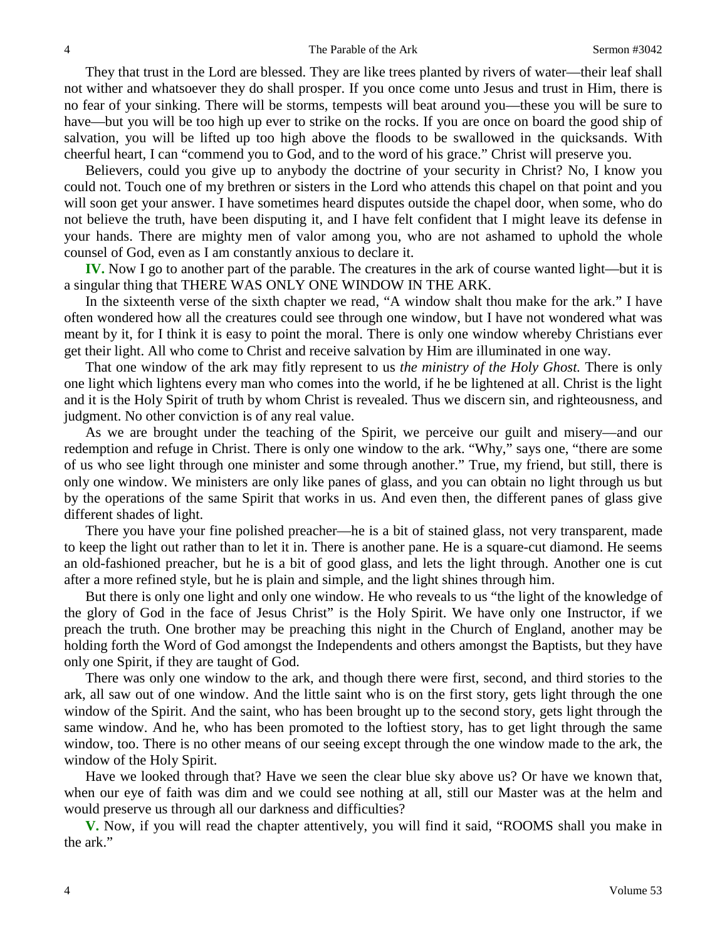They that trust in the Lord are blessed. They are like trees planted by rivers of water—their leaf shall not wither and whatsoever they do shall prosper. If you once come unto Jesus and trust in Him, there is no fear of your sinking. There will be storms, tempests will beat around you—these you will be sure to have—but you will be too high up ever to strike on the rocks. If you are once on board the good ship of salvation, you will be lifted up too high above the floods to be swallowed in the quicksands. With cheerful heart, I can "commend you to God, and to the word of his grace." Christ will preserve you.

Believers, could you give up to anybody the doctrine of your security in Christ? No, I know you could not. Touch one of my brethren or sisters in the Lord who attends this chapel on that point and you will soon get your answer. I have sometimes heard disputes outside the chapel door, when some, who do not believe the truth, have been disputing it, and I have felt confident that I might leave its defense in your hands. There are mighty men of valor among you, who are not ashamed to uphold the whole counsel of God, even as I am constantly anxious to declare it.

**IV.** Now I go to another part of the parable. The creatures in the ark of course wanted light—but it is a singular thing that THERE WAS ONLY ONE WINDOW IN THE ARK.

In the sixteenth verse of the sixth chapter we read, "A window shalt thou make for the ark." I have often wondered how all the creatures could see through one window, but I have not wondered what was meant by it, for I think it is easy to point the moral. There is only one window whereby Christians ever get their light. All who come to Christ and receive salvation by Him are illuminated in one way.

That one window of the ark may fitly represent to us *the ministry of the Holy Ghost.* There is only one light which lightens every man who comes into the world, if he be lightened at all. Christ is the light and it is the Holy Spirit of truth by whom Christ is revealed. Thus we discern sin, and righteousness, and judgment. No other conviction is of any real value.

As we are brought under the teaching of the Spirit, we perceive our guilt and misery—and our redemption and refuge in Christ. There is only one window to the ark. "Why," says one, "there are some of us who see light through one minister and some through another." True, my friend, but still, there is only one window. We ministers are only like panes of glass, and you can obtain no light through us but by the operations of the same Spirit that works in us. And even then, the different panes of glass give different shades of light.

There you have your fine polished preacher—he is a bit of stained glass, not very transparent, made to keep the light out rather than to let it in. There is another pane. He is a square-cut diamond. He seems an old-fashioned preacher, but he is a bit of good glass, and lets the light through. Another one is cut after a more refined style, but he is plain and simple, and the light shines through him.

But there is only one light and only one window. He who reveals to us "the light of the knowledge of the glory of God in the face of Jesus Christ" is the Holy Spirit. We have only one Instructor, if we preach the truth. One brother may be preaching this night in the Church of England, another may be holding forth the Word of God amongst the Independents and others amongst the Baptists, but they have only one Spirit, if they are taught of God.

There was only one window to the ark, and though there were first, second, and third stories to the ark, all saw out of one window. And the little saint who is on the first story, gets light through the one window of the Spirit. And the saint, who has been brought up to the second story, gets light through the same window. And he, who has been promoted to the loftiest story, has to get light through the same window, too. There is no other means of our seeing except through the one window made to the ark, the window of the Holy Spirit.

Have we looked through that? Have we seen the clear blue sky above us? Or have we known that, when our eye of faith was dim and we could see nothing at all, still our Master was at the helm and would preserve us through all our darkness and difficulties?

**V.** Now, if you will read the chapter attentively, you will find it said, "ROOMS shall you make in the ark."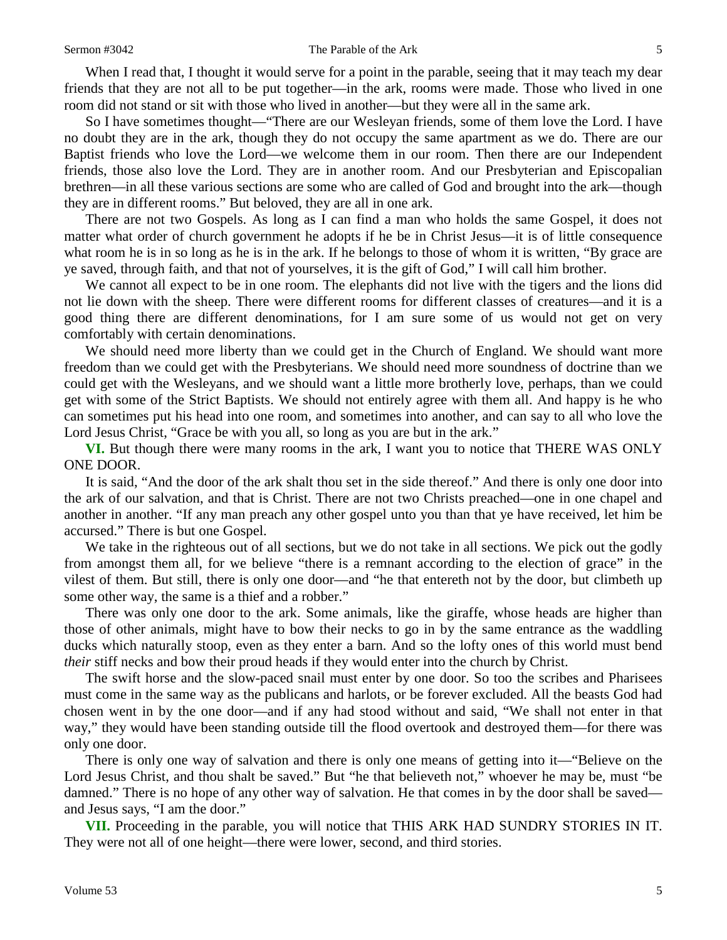When I read that, I thought it would serve for a point in the parable, seeing that it may teach my dear friends that they are not all to be put together—in the ark, rooms were made. Those who lived in one room did not stand or sit with those who lived in another—but they were all in the same ark.

So I have sometimes thought—"There are our Wesleyan friends, some of them love the Lord. I have no doubt they are in the ark, though they do not occupy the same apartment as we do. There are our Baptist friends who love the Lord—we welcome them in our room. Then there are our Independent friends, those also love the Lord. They are in another room. And our Presbyterian and Episcopalian brethren—in all these various sections are some who are called of God and brought into the ark—though they are in different rooms." But beloved, they are all in one ark.

There are not two Gospels. As long as I can find a man who holds the same Gospel, it does not matter what order of church government he adopts if he be in Christ Jesus—it is of little consequence what room he is in so long as he is in the ark. If he belongs to those of whom it is written, "By grace are ye saved, through faith, and that not of yourselves, it is the gift of God," I will call him brother.

We cannot all expect to be in one room. The elephants did not live with the tigers and the lions did not lie down with the sheep. There were different rooms for different classes of creatures—and it is a good thing there are different denominations, for I am sure some of us would not get on very comfortably with certain denominations.

We should need more liberty than we could get in the Church of England. We should want more freedom than we could get with the Presbyterians. We should need more soundness of doctrine than we could get with the Wesleyans, and we should want a little more brotherly love, perhaps, than we could get with some of the Strict Baptists. We should not entirely agree with them all. And happy is he who can sometimes put his head into one room, and sometimes into another, and can say to all who love the Lord Jesus Christ, "Grace be with you all, so long as you are but in the ark."

**VI.** But though there were many rooms in the ark, I want you to notice that THERE WAS ONLY ONE DOOR.

It is said, "And the door of the ark shalt thou set in the side thereof." And there is only one door into the ark of our salvation, and that is Christ. There are not two Christs preached—one in one chapel and another in another. "If any man preach any other gospel unto you than that ye have received, let him be accursed." There is but one Gospel.

We take in the righteous out of all sections, but we do not take in all sections. We pick out the godly from amongst them all, for we believe "there is a remnant according to the election of grace" in the vilest of them. But still, there is only one door—and "he that entereth not by the door, but climbeth up some other way, the same is a thief and a robber."

There was only one door to the ark. Some animals, like the giraffe, whose heads are higher than those of other animals, might have to bow their necks to go in by the same entrance as the waddling ducks which naturally stoop, even as they enter a barn. And so the lofty ones of this world must bend *their* stiff necks and bow their proud heads if they would enter into the church by Christ.

The swift horse and the slow-paced snail must enter by one door. So too the scribes and Pharisees must come in the same way as the publicans and harlots, or be forever excluded. All the beasts God had chosen went in by the one door—and if any had stood without and said, "We shall not enter in that way," they would have been standing outside till the flood overtook and destroyed them—for there was only one door.

There is only one way of salvation and there is only one means of getting into it—"Believe on the Lord Jesus Christ, and thou shalt be saved." But "he that believeth not," whoever he may be, must "be damned." There is no hope of any other way of salvation. He that comes in by the door shall be saved and Jesus says, "I am the door."

**VII.** Proceeding in the parable, you will notice that THIS ARK HAD SUNDRY STORIES IN IT. They were not all of one height—there were lower, second, and third stories.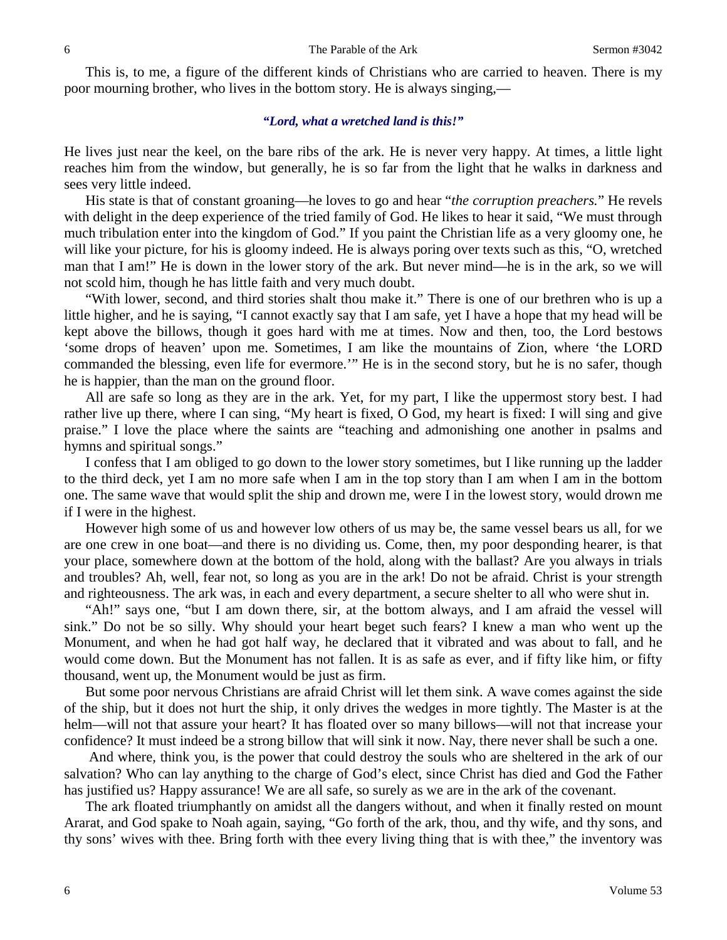This is, to me, a figure of the different kinds of Christians who are carried to heaven. There is my poor mourning brother, who lives in the bottom story. He is always singing,—

#### *"Lord, what a wretched land is this!"*

He lives just near the keel, on the bare ribs of the ark. He is never very happy. At times, a little light reaches him from the window, but generally, he is so far from the light that he walks in darkness and sees very little indeed.

His state is that of constant groaning—he loves to go and hear "*the corruption preachers.*" He revels with delight in the deep experience of the tried family of God. He likes to hear it said, "We must through much tribulation enter into the kingdom of God." If you paint the Christian life as a very gloomy one, he will like your picture, for his is gloomy indeed. He is always poring over texts such as this, "O, wretched man that I am!" He is down in the lower story of the ark. But never mind—he is in the ark, so we will not scold him, though he has little faith and very much doubt.

"With lower, second, and third stories shalt thou make it." There is one of our brethren who is up a little higher, and he is saying, "I cannot exactly say that I am safe, yet I have a hope that my head will be kept above the billows, though it goes hard with me at times. Now and then, too, the Lord bestows 'some drops of heaven' upon me. Sometimes, I am like the mountains of Zion, where 'the LORD commanded the blessing, even life for evermore.'" He is in the second story, but he is no safer, though he is happier, than the man on the ground floor.

All are safe so long as they are in the ark. Yet, for my part, I like the uppermost story best. I had rather live up there, where I can sing, "My heart is fixed, O God, my heart is fixed: I will sing and give praise." I love the place where the saints are "teaching and admonishing one another in psalms and hymns and spiritual songs."

I confess that I am obliged to go down to the lower story sometimes, but I like running up the ladder to the third deck, yet I am no more safe when I am in the top story than I am when I am in the bottom one. The same wave that would split the ship and drown me, were I in the lowest story, would drown me if I were in the highest.

However high some of us and however low others of us may be, the same vessel bears us all, for we are one crew in one boat—and there is no dividing us. Come, then, my poor desponding hearer, is that your place, somewhere down at the bottom of the hold, along with the ballast? Are you always in trials and troubles? Ah, well, fear not, so long as you are in the ark! Do not be afraid. Christ is your strength and righteousness. The ark was, in each and every department, a secure shelter to all who were shut in.

"Ah!" says one, "but I am down there, sir, at the bottom always, and I am afraid the vessel will sink." Do not be so silly. Why should your heart beget such fears? I knew a man who went up the Monument, and when he had got half way, he declared that it vibrated and was about to fall, and he would come down. But the Monument has not fallen. It is as safe as ever, and if fifty like him, or fifty thousand, went up, the Monument would be just as firm.

But some poor nervous Christians are afraid Christ will let them sink. A wave comes against the side of the ship, but it does not hurt the ship, it only drives the wedges in more tightly. The Master is at the helm—will not that assure your heart? It has floated over so many billows—will not that increase your confidence? It must indeed be a strong billow that will sink it now. Nay, there never shall be such a one.

And where, think you, is the power that could destroy the souls who are sheltered in the ark of our salvation? Who can lay anything to the charge of God's elect, since Christ has died and God the Father has justified us? Happy assurance! We are all safe, so surely as we are in the ark of the covenant.

The ark floated triumphantly on amidst all the dangers without, and when it finally rested on mount Ararat, and God spake to Noah again, saying, "Go forth of the ark, thou, and thy wife, and thy sons, and thy sons' wives with thee. Bring forth with thee every living thing that is with thee," the inventory was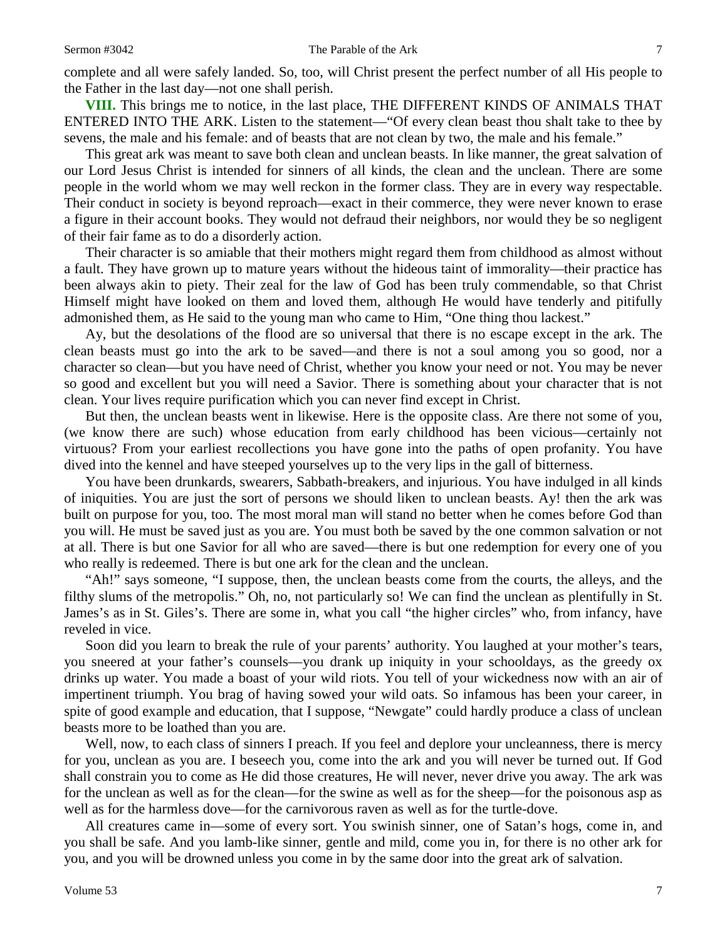complete and all were safely landed. So, too, will Christ present the perfect number of all His people to the Father in the last day—not one shall perish.

**VIII.** This brings me to notice, in the last place, THE DIFFERENT KINDS OF ANIMALS THAT ENTERED INTO THE ARK. Listen to the statement—"Of every clean beast thou shalt take to thee by sevens, the male and his female: and of beasts that are not clean by two, the male and his female."

This great ark was meant to save both clean and unclean beasts. In like manner, the great salvation of our Lord Jesus Christ is intended for sinners of all kinds, the clean and the unclean. There are some people in the world whom we may well reckon in the former class. They are in every way respectable. Their conduct in society is beyond reproach—exact in their commerce, they were never known to erase a figure in their account books. They would not defraud their neighbors, nor would they be so negligent of their fair fame as to do a disorderly action.

Their character is so amiable that their mothers might regard them from childhood as almost without a fault. They have grown up to mature years without the hideous taint of immorality—their practice has been always akin to piety. Their zeal for the law of God has been truly commendable, so that Christ Himself might have looked on them and loved them, although He would have tenderly and pitifully admonished them, as He said to the young man who came to Him, "One thing thou lackest."

Ay, but the desolations of the flood are so universal that there is no escape except in the ark. The clean beasts must go into the ark to be saved—and there is not a soul among you so good, nor a character so clean—but you have need of Christ, whether you know your need or not. You may be never so good and excellent but you will need a Savior. There is something about your character that is not clean. Your lives require purification which you can never find except in Christ.

But then, the unclean beasts went in likewise. Here is the opposite class. Are there not some of you, (we know there are such) whose education from early childhood has been vicious—certainly not virtuous? From your earliest recollections you have gone into the paths of open profanity. You have dived into the kennel and have steeped yourselves up to the very lips in the gall of bitterness.

You have been drunkards, swearers, Sabbath-breakers, and injurious. You have indulged in all kinds of iniquities. You are just the sort of persons we should liken to unclean beasts. Ay! then the ark was built on purpose for you, too. The most moral man will stand no better when he comes before God than you will. He must be saved just as you are. You must both be saved by the one common salvation or not at all. There is but one Savior for all who are saved—there is but one redemption for every one of you who really is redeemed. There is but one ark for the clean and the unclean.

"Ah!" says someone, "I suppose, then, the unclean beasts come from the courts, the alleys, and the filthy slums of the metropolis." Oh, no, not particularly so! We can find the unclean as plentifully in St. James's as in St. Giles's. There are some in, what you call "the higher circles" who, from infancy, have reveled in vice.

Soon did you learn to break the rule of your parents' authority. You laughed at your mother's tears, you sneered at your father's counsels—you drank up iniquity in your schooldays, as the greedy ox drinks up water. You made a boast of your wild riots. You tell of your wickedness now with an air of impertinent triumph. You brag of having sowed your wild oats. So infamous has been your career, in spite of good example and education, that I suppose, "Newgate" could hardly produce a class of unclean beasts more to be loathed than you are.

Well, now, to each class of sinners I preach. If you feel and deplore your uncleanness, there is mercy for you, unclean as you are. I beseech you, come into the ark and you will never be turned out. If God shall constrain you to come as He did those creatures, He will never, never drive you away. The ark was for the unclean as well as for the clean—for the swine as well as for the sheep—for the poisonous asp as well as for the harmless dove—for the carnivorous raven as well as for the turtle-dove.

All creatures came in—some of every sort. You swinish sinner, one of Satan's hogs, come in, and you shall be safe. And you lamb-like sinner, gentle and mild, come you in, for there is no other ark for you, and you will be drowned unless you come in by the same door into the great ark of salvation.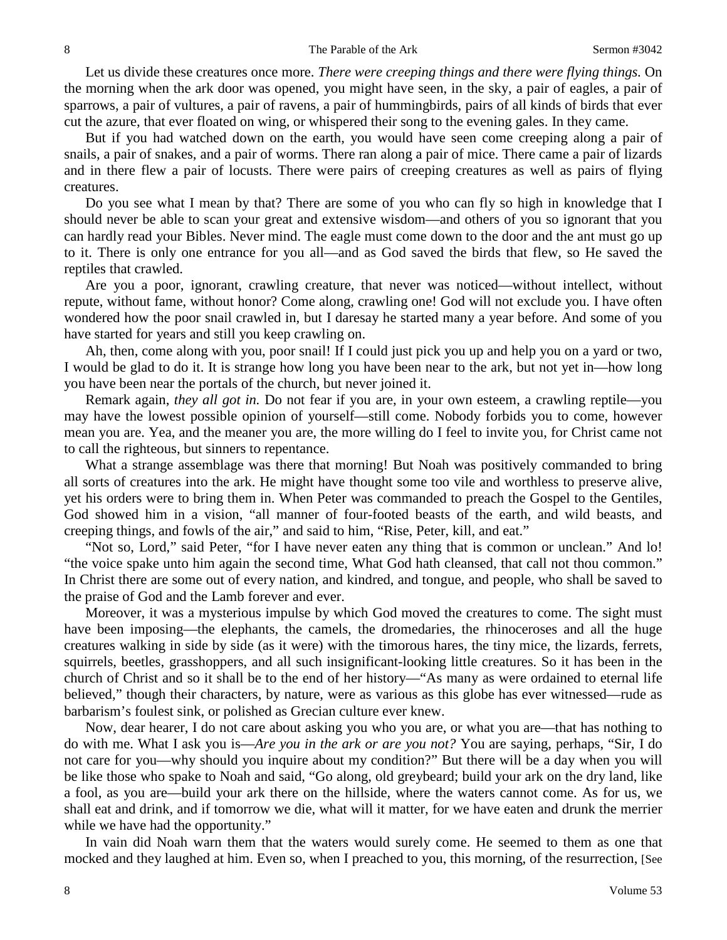Let us divide these creatures once more. *There were creeping things and there were flying things.* On the morning when the ark door was opened, you might have seen, in the sky, a pair of eagles, a pair of sparrows, a pair of vultures, a pair of ravens, a pair of hummingbirds, pairs of all kinds of birds that ever cut the azure, that ever floated on wing, or whispered their song to the evening gales. In they came.

But if you had watched down on the earth, you would have seen come creeping along a pair of snails, a pair of snakes, and a pair of worms. There ran along a pair of mice. There came a pair of lizards and in there flew a pair of locusts. There were pairs of creeping creatures as well as pairs of flying creatures.

Do you see what I mean by that? There are some of you who can fly so high in knowledge that I should never be able to scan your great and extensive wisdom—and others of you so ignorant that you can hardly read your Bibles. Never mind. The eagle must come down to the door and the ant must go up to it. There is only one entrance for you all—and as God saved the birds that flew, so He saved the reptiles that crawled.

Are you a poor, ignorant, crawling creature, that never was noticed—without intellect, without repute, without fame, without honor? Come along, crawling one! God will not exclude you. I have often wondered how the poor snail crawled in, but I daresay he started many a year before. And some of you have started for years and still you keep crawling on.

Ah, then, come along with you, poor snail! If I could just pick you up and help you on a yard or two, I would be glad to do it. It is strange how long you have been near to the ark, but not yet in—how long you have been near the portals of the church, but never joined it.

Remark again, *they all got in.* Do not fear if you are, in your own esteem, a crawling reptile—you may have the lowest possible opinion of yourself—still come. Nobody forbids you to come, however mean you are. Yea, and the meaner you are, the more willing do I feel to invite you, for Christ came not to call the righteous, but sinners to repentance.

What a strange assemblage was there that morning! But Noah was positively commanded to bring all sorts of creatures into the ark. He might have thought some too vile and worthless to preserve alive, yet his orders were to bring them in. When Peter was commanded to preach the Gospel to the Gentiles, God showed him in a vision, "all manner of four-footed beasts of the earth, and wild beasts, and creeping things, and fowls of the air," and said to him, "Rise, Peter, kill, and eat."

"Not so, Lord," said Peter, "for I have never eaten any thing that is common or unclean." And lo! "the voice spake unto him again the second time, What God hath cleansed, that call not thou common." In Christ there are some out of every nation, and kindred, and tongue, and people, who shall be saved to the praise of God and the Lamb forever and ever.

Moreover, it was a mysterious impulse by which God moved the creatures to come. The sight must have been imposing—the elephants, the camels, the dromedaries, the rhinoceroses and all the huge creatures walking in side by side (as it were) with the timorous hares, the tiny mice, the lizards, ferrets, squirrels, beetles, grasshoppers, and all such insignificant-looking little creatures. So it has been in the church of Christ and so it shall be to the end of her history—"As many as were ordained to eternal life believed," though their characters, by nature, were as various as this globe has ever witnessed—rude as barbarism's foulest sink, or polished as Grecian culture ever knew.

Now, dear hearer, I do not care about asking you who you are, or what you are—that has nothing to do with me. What I ask you is—*Are you in the ark or are you not?* You are saying, perhaps, "Sir, I do not care for you—why should you inquire about my condition?" But there will be a day when you will be like those who spake to Noah and said, "Go along, old greybeard; build your ark on the dry land, like a fool, as you are—build your ark there on the hillside, where the waters cannot come. As for us, we shall eat and drink, and if tomorrow we die, what will it matter, for we have eaten and drunk the merrier while we have had the opportunity."

In vain did Noah warn them that the waters would surely come. He seemed to them as one that mocked and they laughed at him. Even so, when I preached to you, this morning, of the resurrection, [See